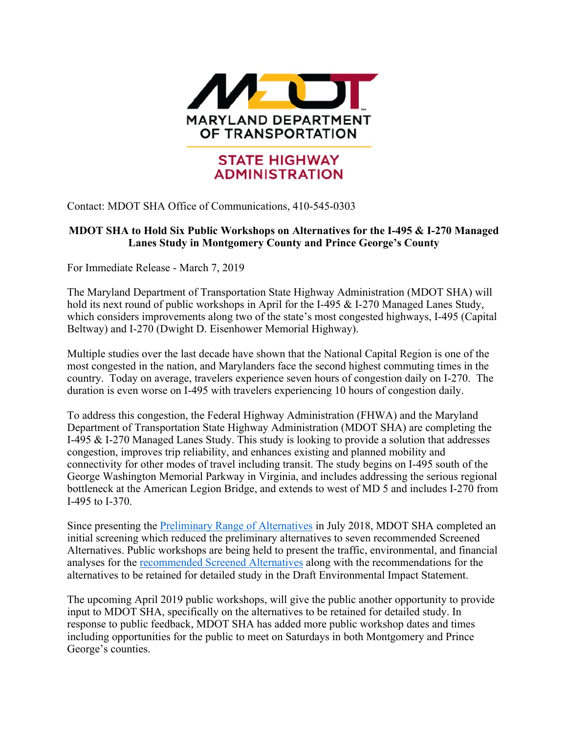

## **STATE HIGHWAY ADMINISTRATION**

Contact: MDOT SHA Office of Communications, 410-545-0303

## **MDOT SHA to Hold Six Public Workshops on Alternatives for the I-495 & I-270 Managed Lanes Study in Montgomery County and Prince George's County**

For Immediate Release - March 7, 2019

The Maryland Department of Transportation State Highway Administration (MDOT SHA) will hold its next round of public workshops in April for the I-495 & I-270 Managed Lanes Study, which considers improvements along two of the state's most congested highways, I-495 (Capital Beltway) and I-270 (Dwight D. Eisenhower Memorial Highway).

Multiple studies over the last decade have shown that the National Capital Region is one of the most congested in the nation, and Marylanders face the second highest commuting times in the country. Today on average, travelers experience seven hours of congestion daily on I-270. The duration is even worse on I-495 with travelers experiencing 10 hours of congestion daily.

To address this congestion, the Federal Highway Administration (FHWA) and the Maryland Department of Transportation State Highway Administration (MDOT SHA) are completing the I-495 & I-270 Managed Lanes Study. This study is looking to provide a solution that addresses congestion, improves trip reliability, and enhances existing and planned mobility and connectivity for other modes of travel including transit. The study begins on I-495 south of the George Washington Memorial Parkway in Virginia, and includes addressing the serious regional bottleneck at the American Legion Bridge, and extends to west of MD 5 and includes I-270 from I-495 to I-370.

Since presenting the Preliminary Range of Alternatives in July 2018, MDOT SHA completed an initial screening which reduced the preliminary alternatives to seven recommended Screened Alternatives. Public workshops are being held to present the traffic, environmental, and financial analyses for the recommended Screened Alternatives along with the recommendations for the alternatives to be retained for detailed study in the Draft Environmental Impact Statement.

The upcoming April 2019 public workshops, will give the public another opportunity to provide input to MDOT SHA, specifically on the alternatives to be retained for detailed study. In response to public feedback, MDOT SHA has added more public workshop dates and times including opportunities for the public to meet on Saturdays in both Montgomery and Prince George's counties.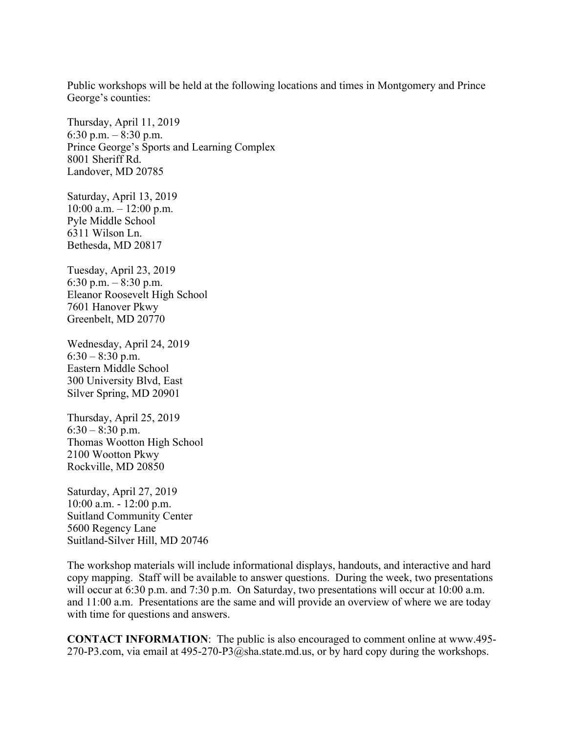Public workshops will be held at the following locations and times in Montgomery and Prince George's counties:

Thursday, April 11, 2019 6:30 p.m.  $-8:30$  p.m. Prince George's Sports and Learning Complex 8001 Sheriff Rd. Landover, MD 20785

Saturday, April 13, 2019  $10:00$  a.m.  $-12:00$  p.m. Pyle Middle School 6311 Wilson Ln. Bethesda, MD 20817

Tuesday, April 23, 2019 6:30 p.m. – 8:30 p.m. Eleanor Roosevelt High School 7601 Hanover Pkwy Greenbelt, MD 20770

Wednesday, April 24, 2019  $6:30 - 8:30$  p.m. Eastern Middle School 300 University Blvd, East Silver Spring, MD 20901

Thursday, April 25, 2019  $6:30 - 8:30$  p.m. Thomas Wootton High School 2100 Wootton Pkwy Rockville, MD 20850

Saturday, April 27, 2019 10:00 a.m. - 12:00 p.m. Suitland Community Center 5600 Regency Lane Suitland-Silver Hill, MD 20746

The workshop materials will include informational displays, handouts, and interactive and hard copy mapping. Staff will be available to answer questions. During the week, two presentations will occur at 6:30 p.m. and 7:30 p.m. On Saturday, two presentations will occur at 10:00 a.m. and 11:00 a.m. Presentations are the same and will provide an overview of where we are today with time for questions and answers.

**CONTACT INFORMATION**: The public is also encouraged to comment online at www.495- 270-P3.com, via email at 495-270-P3@sha.state.md.us, or by hard copy during the workshops.